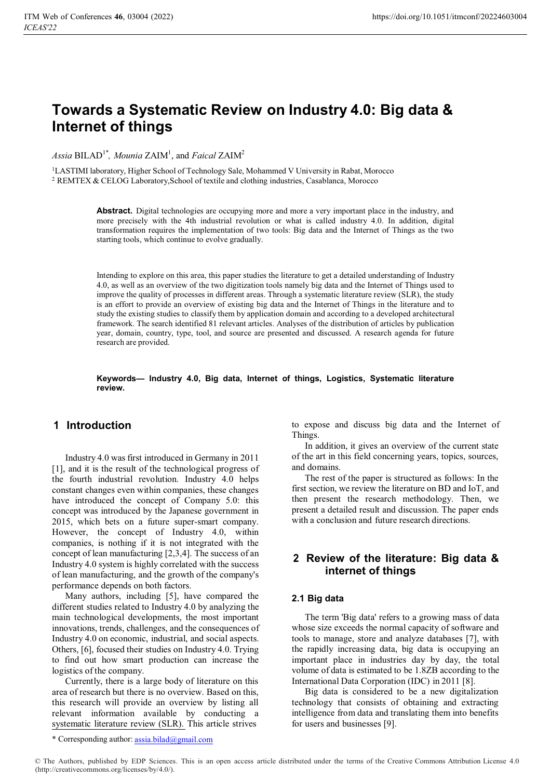# **Towards a Systematic Review on Industry 4.0: Big data & Internet of things**

 $Assia$   $BILAD<sup>1*</sup>$ *, Mounia*  $ZAIM<sup>1</sup>$ *, and Faical*  $ZAIM<sup>2</sup>$ 

<sup>1</sup>LASTIMI laboratory, Higher School of Technology Sale, Mohammed V University in Rabat, Morocco 2 REMTEX & CELOG Laboratory,School of textile and clothing industries, Casablanca, Morocco

> **Abstract.** Digital technologies are occupying more and more a very important place in the industry, and more precisely with the 4th industrial revolution or what is called industry 4.0. In addition, digital transformation requires the implementation of two tools: Big data and the Internet of Things as the two starting tools, which continue to evolve gradually.

> Intending to explore on this area, this paper studies the literature to get a detailed understanding of Industry 4.0, as well as an overview of the two digitization tools namely big data and the Internet of Things used to improve the quality of processes in different areas. Through a systematic literature review (SLR), the study is an effort to provide an overview of existing big data and the Internet of Things in the literature and to study the existing studies to classify them by application domain and according to a developed architectural framework. The search identified 81 relevant articles. Analyses of the distribution of articles by publication year, domain, country, type, tool, and source are presented and discussed. A research agenda for future research are provided.

> **Keywords— Industry 4.0, Big data, Internet of things, Logistics, Systematic literature review.**

# **1 Introduction**

Industry 4.0 was first introduced in Germany in 2011 [1], and it is the result of the technological progress of the fourth industrial revolution. Industry 4.0 helps constant changes even within companies, these changes have introduced the concept of Company 5.0: this concept was introduced by the Japanese government in 2015, which bets on a future super-smart company. However, the concept of Industry 4.0, within companies, is nothing if it is not integrated with the concept of lean manufacturing [2,3,4]. The success of an Industry 4.0 system is highly correlated with the success of lean manufacturing, and the growth of the company's performance depends on both factors.

Many authors, including [5], have compared the different studies related to Industry 4.0 by analyzing the main technological developments, the most important innovations, trends, challenges, and the consequences of Industry 4.0 on economic, industrial, and social aspects. Others, [6], focused their studies on Industry 4.0. Trying to find out how smart production can increase the logistics of the company.

Currently, there is a large body of literature on this area of research but there is no overview. Based on this, this research will provide an overview by listing all relevant information available by conducting a systematic literature review (SLR). This article strives

to expose and discuss big data and the Internet of Things.

In addition, it gives an overview of the current state of the art in this field concerning years, topics, sources, and domains.

The rest of the paper is structured as follows: In the first section, we review the literature on BD and IoT, and then present the research methodology. Then, we present a detailed result and discussion. The paper ends with a conclusion and future research directions.

# **2 Review of the literature: Big data & internet of things**

# **2.1 Big data**

The term 'Big data' refers to a growing mass of data whose size exceeds the normal capacity of software and tools to manage, store and analyze databases [7], with the rapidly increasing data, big data is occupying an important place in industries day by day, the total volume of data is estimated to be 1.8ZB according to the International Data Corporation (IDC) in 2011 [8].

Big data is considered to be a new digitalization technology that consists of obtaining and extracting intelligence from data and translating them into benefits for users and businesses [9].

\* Corresponding author: assia.bilad@gmail.com

© The Authors, published by EDP Sciences. This is an open access article distributed under the terms of the Creative Commons Attribution License 4.0 (http://creativecommons.org/licenses/by/4.0/).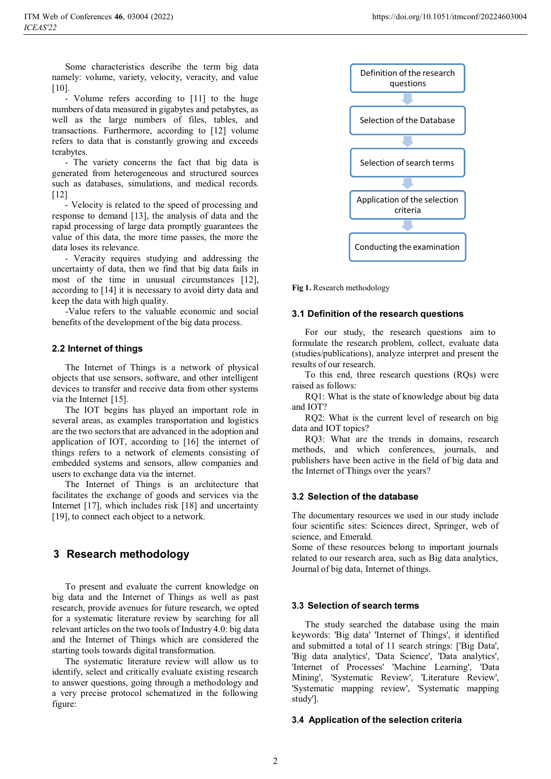Some characteristics describe the term big data namely: volume, variety, velocity, veracity, and value [10].

- Volume refers according to [11] to the huge numbers of data measured in gigabytes and petabytes, as well as the large numbers of files, tables, and transactions. Furthermore, according to [12] volume refers to data that is constantly growing and exceeds terabytes.

- The variety concerns the fact that big data is generated from heterogeneous and structured sources such as databases, simulations, and medical records. [12]

- Velocity is related to the speed of processing and response to demand [13], the analysis of data and the rapid processing of large data promptly guarantees the value of this data, the more time passes, the more the data loses its relevance.

- Veracity requires studying and addressing the uncertainty of data, then we find that big data fails in most of the time in unusual circumstances [12], according to [14] it is necessary to avoid dirty data and keep the data with high quality.

-Value refers to the valuable economic and social benefits of the development of the big data process.

# **2.2 Internet of things**

The Internet of Things is a network of physical objects that use sensors, software, and other intelligent devices to transfer and receive data from other systems via the Internet [15].

The IOT begins has played an important role in several areas, as examples transportation and logistics are the two sectors that are advanced in the adoption and application of IOT, according to [16] the internet of things refers to a network of elements consisting of embedded systems and sensors, allow companies and users to exchange data via the internet.

The Internet of Things is an architecture that facilitates the exchange of goods and services via the Internet [17], which includes risk [18] and uncertainty [19], to connect each object to a network.

# **3 Research methodology**

To present and evaluate the current knowledge on big data and the Internet of Things as well as past research, provide avenues for future research, we opted for a systematic literature review by searching for all relevant articles on the two tools of Industry 4.0: big data and the Internet of Things which are considered the starting tools towards digital transformation.

The systematic literature review will allow us to identify, select and critically evaluate existing research to answer questions, going through a methodology and a very precise protocol schematized in the following figure:



**Fig 1.** Research methodology

# **3.1 Definition of the research questions**

For our study, the research questions aim to formulate the research problem, collect, evaluate data (studies/publications), analyze interpret and present the results of our research.

To this end, three research questions (RQs) were raised as follows:

RQ1: What is the state of knowledge about big data and IOT?

RQ2: What is the current level of research on big data and IOT topics?

RQ3: What are the trends in domains, research methods, and which conferences, journals, and publishers have been active in the field of big data and the Internet of Things over the years?

# **3.2 Selection of the database**

The documentary resources we used in our study include four scientific sites: Sciences direct, Springer, web of science, and Emerald.

Some of these resources belong to important journals related to our research area, such as Big data analytics, Journal of big data, Internet of things.

# **3.3 Selection of search terms**

The study searched the database using the main keywords: 'Big data' 'Internet of Things', it identified and submitted a total of 11 search strings: ['Big Data', 'Big data analytics', 'Data Science', 'Data analytics', 'Internet of Processes' 'Machine Learning', 'Data Mining', 'Systematic Review', 'Literature Review', 'Systematic mapping review', 'Systematic mapping study'].

# **3.4 Application of the selection criteria**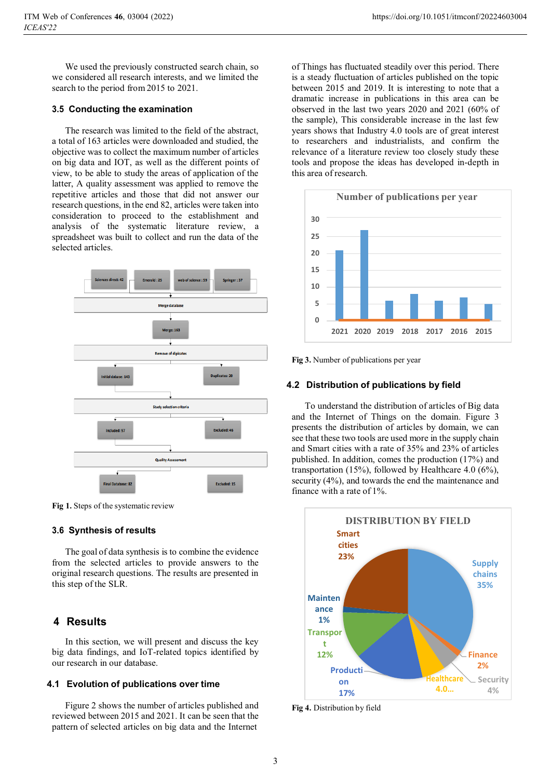We used the previously constructed search chain, so we considered all research interests, and we limited the search to the period from 2015 to 2021.

### **3.5 Conducting the examination**

The research was limited to the field of the abstract, a total of 163 articles were downloaded and studied, the objective was to collect the maximum number of articles on big data and IOT, as well as the different points of view, to be able to study the areas of application of the latter, A quality assessment was applied to remove the repetitive articles and those that did not answer our research questions, in the end 82, articles were taken into consideration to proceed to the establishment and analysis of the systematic literature review, a spreadsheet was built to collect and run the data of the selected articles.



**Fig 1.** Steps of the systematic review

#### **3.6 Synthesis of results**

The goal of data synthesis is to combine the evidence from the selected articles to provide answers to the original research questions. The results are presented in this step of the SLR.

# **4 Results**

In this section, we will present and discuss the key big data findings, and IoT-related topics identified by our research in our database.

### **4.1 Evolution of publications over time**

Figure 2 shows the number of articles published and reviewed between 2015 and 2021. It can be seen that the pattern of selected articles on big data and the Internet

of Things has fluctuated steadily over this period. There is a steady fluctuation of articles published on the topic between 2015 and 2019. It is interesting to note that a dramatic increase in publications in this area can be observed in the last two years 2020 and 2021 (60% of the sample), This considerable increase in the last few years shows that Industry 4.0 tools are of great interest to researchers and industrialists, and confirm the relevance of a literature review too closely study these tools and propose the ideas has developed in-depth in this area of research.



**Fig 3.** Number of publications per year

#### **4.2 Distribution of publications by field**

To understand the distribution of articles of Big data and the Internet of Things on the domain. Figure 3 presents the distribution of articles by domain, we can see that these two tools are used more in the supply chain and Smart cities with a rate of 35% and 23% of articles published. In addition, comes the production (17%) and transportation (15%), followed by Healthcare 4.0  $(6\%)$ , security (4%), and towards the end the maintenance and finance with a rate of 1%.



**Fig 4.** Distribution by field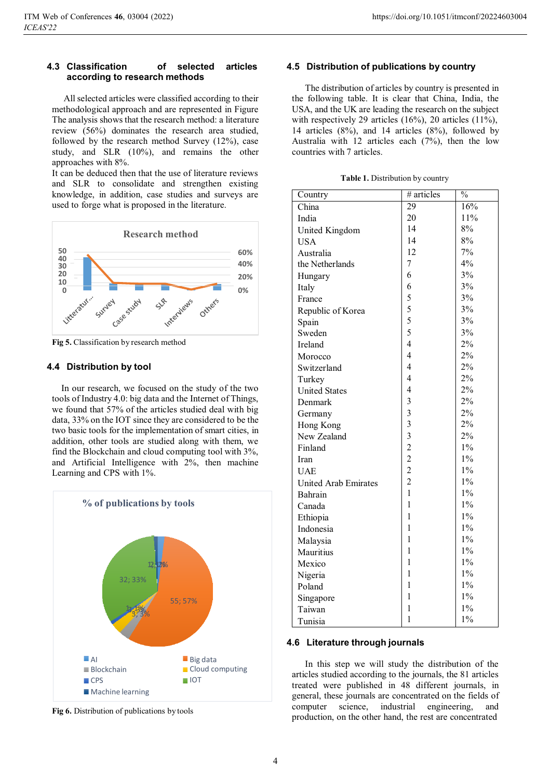#### **4.3 Classification of selected articles according to research methods**

All selected articles were classified according to their methodological approach and are represented in Figure The analysis shows that the research method: a literature review (56%) dominates the research area studied, followed by the research method Survey (12%), case study, and SLR (10%), and remains the other approaches with 8%.

It can be deduced then that the use of literature reviews and SLR to consolidate and strengthen existing knowledge, in addition, case studies and surveys are used to forge what is proposed in the literature.



**Fig 5.** Classification by research method

# **4.4 Distribution by tool**

In our research, we focused on the study of the two tools of Industry 4.0: big data and the Internet of Things, we found that 57% of the articles studied deal with big data, 33% on the IOT since they are considered to be the two basic tools for the implementation of smart cities, in addition, other tools are studied along with them, we find the Blockchain and cloud computing tool with 3%, and Artificial Intelligence with 2%, then machine Learning and CPS with 1%.



**Fig 6.** Distribution of publications by tools

#### **4.5 Distribution of publications by country**

The distribution of articles by country is presented in the following table. It is clear that China, India, the USA, and the UK are leading the research on the subject with respectively 29 articles  $(16\%)$ , 20 articles  $(11\%)$ , 14 articles (8%), and 14 articles (8%), followed by Australia with 12 articles each (7%), then the low countries with 7 articles.

**Table 1.** Distribution by country

| Country                     | # articles              | $\frac{0}{0}$ |
|-----------------------------|-------------------------|---------------|
| China                       | 29                      | 16%           |
| India                       | 20                      | 11%           |
| United Kingdom              | 14                      | 8%            |
| <b>USA</b>                  | 14                      | 8%            |
| Australia                   | 12                      | 7%            |
| the Netherlands             | $\overline{7}$          | 4%            |
| Hungary                     | 6                       | 3%            |
| Italy                       | 6                       | 3%            |
| France                      | 5                       | 3%            |
| Republic of Korea           | 5                       | 3%            |
| Spain                       | 5                       | 3%            |
| Sweden                      | 5                       | 3%            |
| Ireland                     | $\overline{4}$          | 2%            |
| Morocco                     | $\overline{4}$          | 2%            |
| Switzerland                 | $\overline{4}$          | 2%            |
| Turkey                      | $\overline{4}$          | 2%            |
| <b>United States</b>        | $\overline{4}$          | $2\%$         |
| Denmark                     | 3                       | $2\%$         |
| Germany                     | $\overline{3}$          | 2%            |
| Hong Kong                   | $\overline{3}$          | 2%            |
| New Zealand                 | $\overline{\mathbf{3}}$ | 2%            |
| Finland                     | $\overline{c}$          | $1\%$         |
| Iran                        | $\overline{c}$          | $1\%$         |
| <b>UAE</b>                  | $\overline{c}$          | $1\%$         |
| <b>United Arab Emirates</b> | $\overline{2}$          | $1\%$         |
| Bahrain                     | $\mathbf{1}$            | $1\%$         |
| Canada                      | $\mathbf{1}$            | $1\%$         |
| Ethiopia                    | $\mathbf{1}$            | $1\%$         |
| Indonesia                   | $\mathbf{1}$            | $1\%$         |
| Malaysia                    | $\mathbf{1}$            | $1\%$         |
| Mauritius                   | 1                       | $1\%$         |
| Mexico                      | 1                       | $1\%$         |
| Nigeria                     | 1                       | $1\%$         |
| Poland                      | $\mathbf{1}$            | $1\%$         |
| Singapore                   | 1                       | $1\%$         |
| Taiwan                      | 1                       | $1\%$         |
| Tunisia                     | $\mathbf{1}$            | $1\%$         |

# **4.6 Literature through journals**

In this step we will study the distribution of the articles studied according to the journals, the 81 articles treated were published in 48 different journals, in general, these journals are concentrated on the fields of computer science, industrial engineering, and production, on the other hand, the rest are concentrated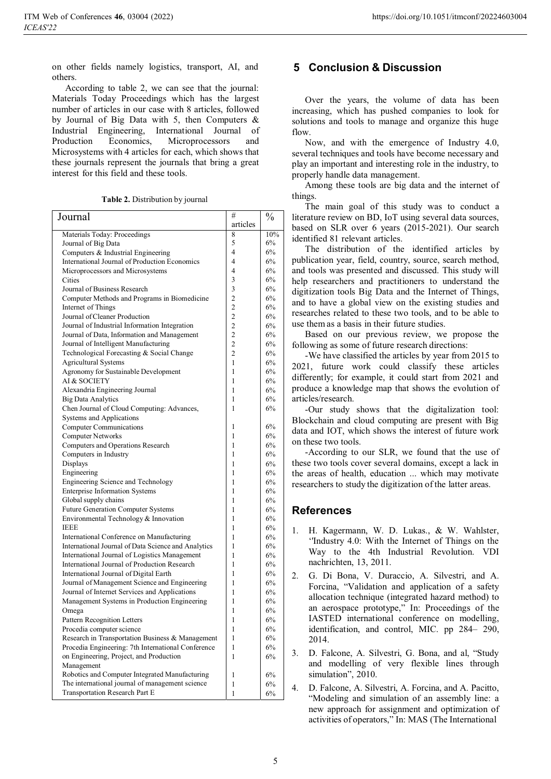on other fields namely logistics, transport, AI, and others.

According to table 2, we can see that the journal: Materials Today Proceedings which has the largest number of articles in our case with 8 articles, followed by Journal of Big Data with 5, then Computers & Industrial Engineering, International Journal of Production Economics, Microprocessors and Microsystems with 4 articles for each, which shows that these journals represent the journals that bring a great interest for this field and these tools.

| Journal                                             | #              | $\frac{0}{0}$ |
|-----------------------------------------------------|----------------|---------------|
|                                                     | articles       |               |
| Materials Today: Proceedings                        | 8              | 10%           |
| Journal of Big Data                                 | 5              | 6%            |
| Computers & Industrial Engineering                  | 4              | 6%            |
| International Journal of Production Economics       | 4              | 6%            |
| Microprocessors and Microsystems                    | 4              | 6%            |
| Cities                                              | 3              | 6%            |
| Journal of Business Research                        | 3              | 6%            |
| Computer Methods and Programs in Biomedicine        | 2              | 6%            |
| Internet of Things                                  | $\overline{c}$ | 6%            |
| Journal of Cleaner Production                       | $\overline{2}$ | 6%            |
| Journal of Industrial Information Integration       | $\overline{2}$ | 6%            |
| Journal of Data, Information and Management         | $\overline{2}$ | 6%            |
| Journal of Intelligent Manufacturing                | $\overline{c}$ | 6%            |
| Technological Forecasting & Social Change           | 2              | 6%            |
| <b>Agricultural Systems</b>                         | 1              | 6%            |
| Agronomy for Sustainable Development                | 1              | 6%            |
| AI & SOCIETY                                        | 1              | 6%            |
| Alexandria Engineering Journal                      | 1              | 6%            |
| <b>Big Data Analytics</b>                           | 1              | 6%            |
| Chen Journal of Cloud Computing: Advances,          | 1              | 6%            |
| Systems and Applications                            |                |               |
| <b>Computer Communications</b>                      | 1              | 6%            |
| <b>Computer Networks</b>                            | 1              | 6%            |
| Computers and Operations Research                   | 1              | 6%            |
| Computers in Industry                               | 1              | 6%            |
| Displays                                            | 1              | 6%            |
| Engineering<br>Engineering Science and Technology   | 1<br>1         | 6%<br>6%      |
| <b>Enterprise Information Systems</b>               | 1              | 6%            |
| Global supply chains                                | 1              | 6%            |
| <b>Future Generation Computer Systems</b>           | 1              | 6%            |
| Environmental Technology & Innovation               | 1              | 6%            |
| <b>IEEE</b>                                         | 1              | 6%            |
| International Conference on Manufacturing           | 1              | 6%            |
| International Journal of Data Science and Analytics | 1              | 6%            |
| International Journal of Logistics Management       | 1              | 6%            |
| International Journal of Production Research        | 1              | 6%            |
| International Journal of Digital Earth              | 1              | 6%            |
| Journal of Management Science and Engineering       | 1              | 6%            |
| Journal of Internet Services and Applications       | 1              | 6%            |
| Management Systems in Production Engineering        | 1              | 6%            |
| Omega                                               | 1              | 6%            |
| Pattern Recognition Letters                         | $\mathbf{1}$   | 6%            |
| Procedia computer science                           | 1              | 6%            |
| Research in Transportation Business & Management    | 1              | 6%            |
| Procedia Engineering: 7th International Conference  | 1              | 6%            |
| on Engineering, Project, and Production             | 1              | 6%            |
| Management                                          |                |               |
| Robotics and Computer Integrated Manufacturing      | 1              | 6%            |
| The international journal of management science     | 1              | 6%            |
| Transportation Research Part E                      | 1              | 6%            |

# **5 Conclusion & Discussion**

Over the years, the volume of data has been increasing, which has pushed companies to look for solutions and tools to manage and organize this huge flow.

Now, and with the emergence of Industry 4.0, several techniques and tools have become necessary and play an important and interesting role in the industry, to properly handle data management.

Among these tools are big data and the internet of things.

The main goal of this study was to conduct a literature review on BD, IoT using several data sources, based on SLR over 6 years (2015-2021). Our search identified 81 relevant articles.

The distribution of the identified articles by publication year, field, country, source, search method, and tools was presented and discussed. This study will help researchers and practitioners to understand the digitization tools Big Data and the Internet of Things, and to have a global view on the existing studies and researches related to these two tools, and to be able to use them as a basis in their future studies.

Based on our previous review, we propose the following as some of future research directions:

-We have classified the articles by year from 2015 to 2021, future work could classify these articles differently; for example, it could start from 2021 and produce a knowledge map that shows the evolution of articles/research.

-Our study shows that the digitalization tool: Blockchain and cloud computing are present with Big data and IOT, which shows the interest of future work on these two tools.

-According to our SLR, we found that the use of these two tools cover several domains, except a lack in the areas of health, education ... which may motivate researchers to study the digitization of the latter areas.

# **References**

- 1. H. Kagermann, W. D. Lukas., & W. Wahlster, ''Industry 4.0: With the Internet of Things on the Way to the 4th Industrial Revolution. VDI nachrichten, 13, 2011.
- 2. G. Di Bona, V. Duraccio, A. Silvestri, and A. Forcina, "Validation and application of a safety allocation technique (integrated hazard method) to an aerospace prototype," In: Proceedings of the IASTED international conference on modelling, identification, and control, MIC. pp 284– 290, 2014.
- 3. D. Falcone, A. Silvestri, G. Bona, and al, "Study and modelling of very flexible lines through simulation", 2010.

4. D. Falcone, A. Silvestri, A. Forcina, and A. Pacitto, "Modeling and simulation of an assembly line: a new approach for assignment and optimization of activities of operators," In: MAS (The International